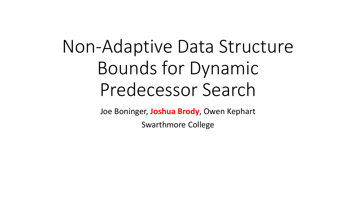# Non-Adaptive Data Structure Bounds for Dynamic Predecessor Search

Joe Boninger, **Joshua Brody**, Owen Kephart

Swarthmore College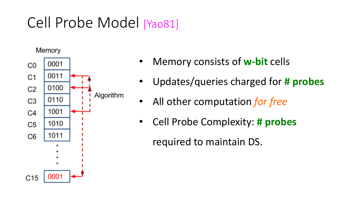## Cell Probe Model [Yao81]



- Memory consists of **w-bit** cells
- Updates/queries charged for # probes
- All other computation *for free*
- Cell Probe Complexity: # probes

required to maintain DS.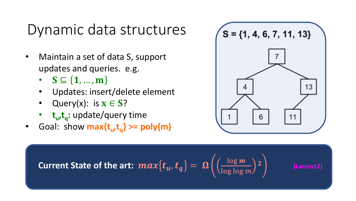## Dynamic data structures

- Maintain a set of data S, support updates and queries. e.g.
	- $S \subseteq \{1, ..., m\}$
	- Updates: insert/delete element
	- Query(x): is  $x \in S$ ?
	- **t**<sub>u</sub>,t<sub>a</sub>: update/query time
- Goal: show  $max\{t_u, t_a\} \geq poly(m)$



**Current State of the art:** 
$$
max\{t_u, t_q\} = \Omega\left(\left(\frac{\log m}{\log \log m}\right)^2\right)
$$
 [Larsen12]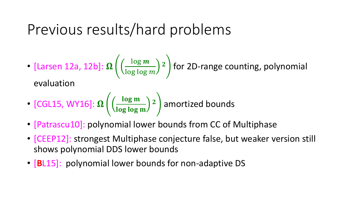## Previous results/hard problems

• [Larsen 12a, 12b]: 
$$
\Omega\left(\left(\frac{\log m}{\log \log m}\right)^2\right)
$$
 for 2D-range counting, polynomial

evaluation

• [CGL15, WY16]: 
$$
\Omega\left(\left(\frac{\log m}{\log \log m}\right)^2\right)
$$
 amortized bounds

- [Patrascu10]: polynomial lower bounds from CC of Multiphase
- [CEEP12]: strongest Multiphase conjecture false, but weaker version still shows polynomial DDS lower bounds
- **[BL15]:** polynomial lower bounds for non-adaptive DS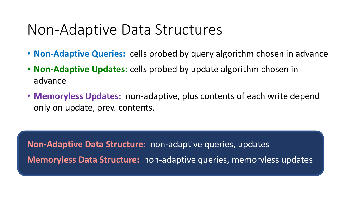#### Non-Adaptive Data Structures

- **Non-Adaptive Queries:** cells probed by query algorithm chosen in advance
- Non-Adaptive Updates: cells probed by update algorithm chosen in advance
- **Memoryless Updates:** non-adaptive, plus contents of each write depend only on update, prev. contents.

**Non-Adaptive Data Structure:** non-adaptive queries, updates **Memoryless Data Structure:** non-adaptive queries, memoryless updates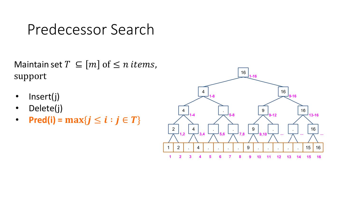## Predecessor Search

Maintain set  $T \subseteq [m]$  of  $\leq n$  *items*, support

- Insert(j)
- Delete(j)
- **Pred(i)** =  $\max\{j \le i : j \in T\}$

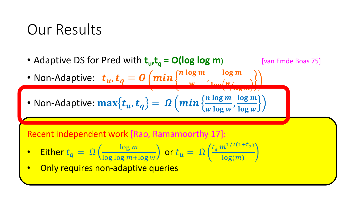## Our Results

• Adaptive DS for Pred with  $t_u, t_q = O(log log m)$  [van Emde Boas 75]

 $\sqrt{105}$  Hv/J

• Non-Adaptive:  $t_u$ ,  $t_q = \mathbf{0} \left( \boldsymbol{min} \left\{\frac{n \log m}{w} \right\} \right)$  $\boldsymbol{w}$ , log m

• Non-Adaptive: 
$$
\max\{t_u, t_q\} = \Omega\left(\min\left\{\frac{n \log m}{w \log w}, \frac{\log m}{\log w}\right\}\right)
$$

Recent independent work [Rao, Ramamoorthy 17]:

• Either 
$$
t_q = \Omega\left(\frac{\log m}{\log \log m + \log w}\right)
$$
 or  $t_u = \Omega\left(\frac{t_q m^{1/2(1+t_q)}}{\log(m)}\right)$ 

Only requires non-adaptive queries

• Memoryless: , ≥ /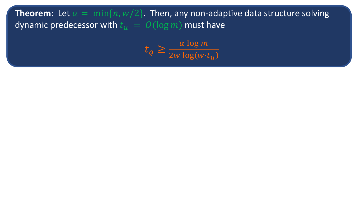**Theorem:** Let  $\alpha = \min\{n, w/2\}$ . Then, any non-adaptive data structure solving dynamic predecessor with  $t_u = O(\log m)$  must have

> $t_q \geq \frac{\alpha \log m}{2w \log(w)}$ 2 $w$   $\log(w\!\cdot\! t_u)$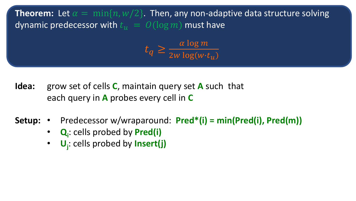**Theorem:** Let  $\alpha = \min\{n, w/2\}$ . Then, any non-adaptive data structure solving dynamic predecessor with  $t_{ii} = O(\log m)$  must have

> $t_q \geq \frac{\alpha \log m}{2w \log(w)}$ 2 $w$   $\log(w\!\cdot\! t_u)$

- **Idea:** grow set of cells **C**, maintain query set **A** such that each query in **A** probes every cell in **C**
- **Setup:** Predecessor w/wraparound: **Pred\*(i)** = min(Pred(i), Pred(m))
	- **Q**<sub>i</sub>: cells probed by **Pred(i)**
	- **U**<sub>j</sub>: cells probed by **Insert(j)**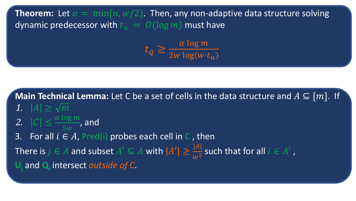**Theorem:** Let  $\alpha = \min\{n, w/2\}$ . Then, any non-adaptive data structure solving dynamic predecessor with  $t_u = O(\log m)$  must have

> $t_q \geq \frac{\alpha \log m}{2w \log(w)}$ 2 $w$   $\log(w\!\cdot\! t_u)$

**Main Technical Lemma:** Let C be a set of cells in the data structure and  $A \subseteq [m]$ . If 1.  $|A| \geq \sqrt{m}$ 2.  $|C| \leq \frac{\alpha \log m}{\epsilon m}$  $\frac{10 g H}{5 W}$ , and 3. For all  $i \in A$ , Pred(i) probes each cell in C, then There is  $j \in A$  and subset  $A' \subseteq A$  with  $|A'| \geq \frac{|A|}{\sqrt{2}}$  $\frac{|A|}{W^2}$  such that for all  $i \in A'$ , U<sub>i</sub> and Q<sub>i</sub> intersect *outside of C*.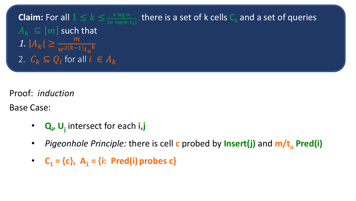

Proof: *induction* 

Base Case:

- **Q**<sub>i</sub>, U<sub>j</sub> intersect for each i,j
- *Pigeonhole Principle:* **there is cell c probed by Insert(j) and m/t<sub>u</sub> Pred(i)**
- $C_1 = \{c\}, A_1 = \{i: \text{Pred}(i) \text{ probes } c\}$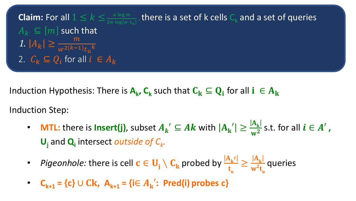**Claim:** For all 
$$
1 \le k \le \frac{\alpha \log m}{2w \log(w \cdot t_u)}
$$
, there is a set of k cells  $C_k$  and a set of queries  $A_k \subseteq [m]$  such that   
1.  $|A_k| \ge \frac{m}{w^{2(k-1)}t_u^k}$   
2.  $C_k \subseteq Q_i$  for all  $i \in A_k$ 

Induction Hypothesis: There is  $A_k$ ,  $C_k$  such that  $C_k \subseteq Q_i$  for all  $i \in A_k$ 

Induction Step:

- MTL: there is lnsert(j), subset  $A_{k}^{\prime} \subseteq Ak$  with  $|A_{k}^{\prime}| \geq \frac{|A_{k}|}{w^{2}}$  $\frac{|\mathbf{A}_{\mathbf{k}}|}{|\mathbf{w}^2|}$  s.t. for all  $i \in A'$  ,  $U_i$  and  $Q_i$  intersect *outside of*  $C_k$ .
- *Pigeonhole:* there is cell  $\mathbf{c} \in \mathbf{U}_\mathbf{j} \setminus \mathbf{C}_\mathbf{k}$  probed by  $\frac{|\mathbf{A}_\mathbf{k'}|}{\mathbf{t}_{\mathbf{u}}}$  $\geq \frac{|A_{k}|}{n\epsilon}$  $w^2t$ <sub>u</sub> queries
- $C_{k+1} = \{c\} \cup Ck$ ,  $A_{k+1} = \{i \in A_k' : \text{Pred}(i) \text{ probes } c\}$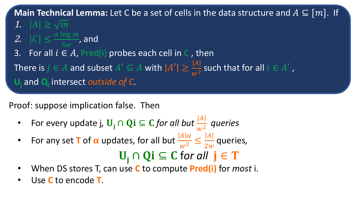**Main Technical Lemma:** Let C be a set of cells in the data structure and  $A \subseteq [m]$ . If

- 1.  $|A| \geq \sqrt{m}$
- 2.  $|C| \leq \frac{\alpha \log m}{\epsilon m}$  $\frac{10 g H}{5 w}$ , and
- 3. For all  $i \in A$ , Pred(i) probes each cell in C, then
- There is  $j \in A$  and subset  $A' \subseteq A$  with  $|A'| \geq \frac{|A|}{\sqrt{2}}$  $\frac{|A|}{|W^2}$  such that for all  $i \in A'$ ,

U<sub>i</sub> and Q<sub>i</sub> intersect *outside of C*.

Proof: suppose implication false. Then

- For every update j,  $\mathbf{U}_j \cap \mathbf{Q}$ **i**  $\subseteq$  *C* for all but  $\frac{|A|}{w^2}$  queries
- For any set **T** of  $\alpha$  updates, for all but  $\frac{|A| \alpha}{w^2} \leq \frac{|A|}{2w}$  queries,  $U_i \cap Qi \subseteq C$  for all  $j \in T$
- When DS stores T, can use C to compute **Pred(i)** for *most* i.
- Use C to encode **T**.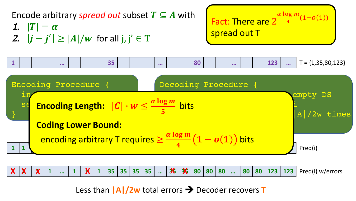Encode arbitrary *spread out* subset  $T \subseteq A$  with 1.  $|T| = \alpha$ 2.  $|j - j'| \ge |A|/w$  for all  $j, j' \in T$ 

Fact: There are 2  $\alpha$  log m  $\frac{q}{4}$   $(1-o(1))$ spread out T





Less than  $\left| \mathbf{A} \right| / 2 \mathbf{w}$  total errors  $\rightarrow$  Decoder recovers **T**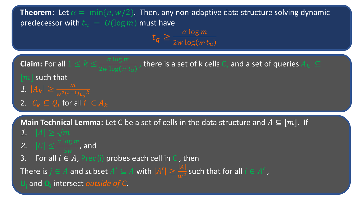**Main Technical Lemma:** Let C be a set of cells in the data structure and  $A \subseteq [m]$ . If 1.  $|A| \geq \sqrt{m}$ 2.  $|C| \leq \frac{\alpha \log m}{\epsilon}$  $\frac{10 g \, m}{5 w}$ , and **Claim:** For all  $1 \leq k \leq \frac{\alpha \log m}{2 \log \left( \log n \right)}$ , there is a set of k cells  $\mathsf{C}_\mathsf{k}$  and a set of queries  $A_k\;\subseteq\;$  $\lceil m \rceil$  such that 1.  $|A_k| \geq \frac{m}{w^{2(k-1)}}$ 2.  $C_k \subseteq Q_i$  for all  $i \in A_k$ **Theorem:** Let  $\alpha = \min\{n, w/2\}$ . Then, any non-adaptive data structure solving dynamic predecessor with  $t_u = O(\log m)$  must have  $t_q \geq \frac{\alpha \log m}{2w \log(w)}$ 2 $w \log (w \cdot t_u)$ 

3. For all  $i \in A$ , Pred(i) probes each cell in C, then

There is  $j \in A$  and subset  $A' \subseteq A$  with  $|A'| \geq \frac{|A|}{|A|}$  $\frac{|A|}{|W|^2}$  such that for all  $i \in A'$ ,

**Uj** and **Qi** intersect *outside of C*.